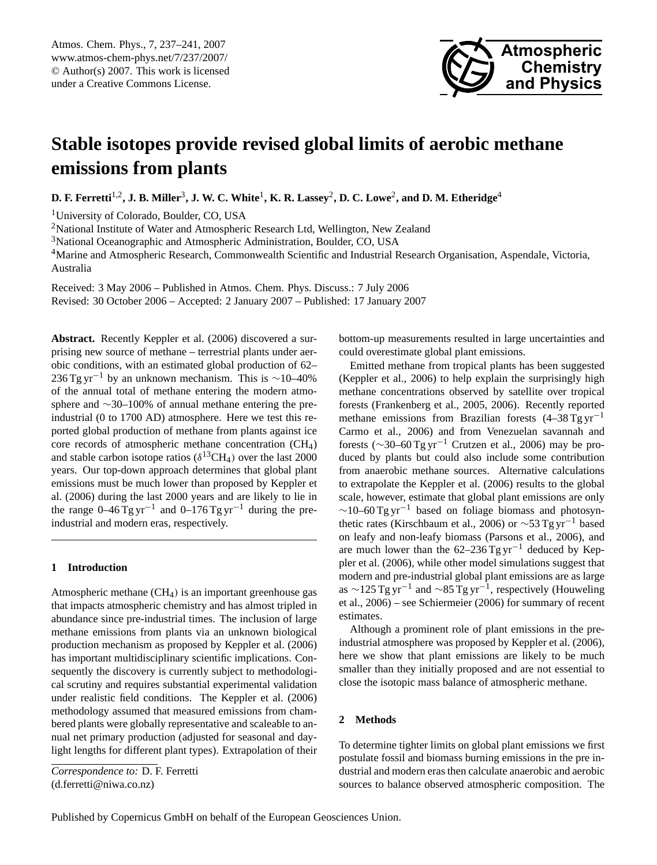

# <span id="page-0-0"></span>**Stable isotopes provide revised global limits of aerobic methane emissions from plants**

**D. F. Ferretti**1,2**, J. B. Miller**<sup>3</sup> **, J. W. C. White**<sup>1</sup> **, K. R. Lassey**<sup>2</sup> **, D. C. Lowe**<sup>2</sup> **, and D. M. Etheridge**<sup>4</sup>

<sup>1</sup>University of Colorado, Boulder, CO, USA

<sup>2</sup>National Institute of Water and Atmospheric Research Ltd, Wellington, New Zealand

<sup>3</sup>National Oceanographic and Atmospheric Administration, Boulder, CO, USA

<sup>4</sup>Marine and Atmospheric Research, Commonwealth Scientific and Industrial Research Organisation, Aspendale, Victoria, Australia

Received: 3 May 2006 – Published in Atmos. Chem. Phys. Discuss.: 7 July 2006 Revised: 30 October 2006 – Accepted: 2 January 2007 – Published: 17 January 2007

**Abstract.** Recently Keppler et al. (2006) discovered a surprising new source of methane – terrestrial plants under aerobic conditions, with an estimated global production of 62– 236 Tg yr<sup>-1</sup> by an unknown mechanism. This is ~10–40% of the annual total of methane entering the modern atmosphere and ∼30–100% of annual methane entering the preindustrial (0 to 1700 AD) atmosphere. Here we test this reported global production of methane from plants against ice core records of atmospheric methane concentration (CH4) and stable carbon isotope ratios ( $\delta^{13}CH_4$ ) over the last 2000 years. Our top-down approach determines that global plant emissions must be much lower than proposed by Keppler et al. (2006) during the last 2000 years and are likely to lie in the range  $0-46$  Tg yr<sup>-1</sup> and  $0-176$  Tg yr<sup>-1</sup> during the preindustrial and modern eras, respectively.

# **1 Introduction**

Atmospheric methane (CH4) is an important greenhouse gas that impacts atmospheric chemistry and has almost tripled in abundance since pre-industrial times. The inclusion of large methane emissions from plants via an unknown biological production mechanism as proposed by Keppler et al. (2006) has important multidisciplinary scientific implications. Consequently the discovery is currently subject to methodological scrutiny and requires substantial experimental validation under realistic field conditions. The Keppler et al. (2006) methodology assumed that measured emissions from chambered plants were globally representative and scaleable to annual net primary production (adjusted for seasonal and daylight lengths for different plant types). Extrapolation of their

*Correspondence to:* D. F. Ferretti (d.ferretti@niwa.co.nz)

bottom-up measurements resulted in large uncertainties and could overestimate global plant emissions.

Emitted methane from tropical plants has been suggested (Keppler et al., 2006) to help explain the surprisingly high methane concentrations observed by satellite over tropical forests (Frankenberg et al., 2005, 2006). Recently reported methane emissions from Brazilian forests  $(4-38 \text{ Tg yr}^{-1})$ Carmo et al., 2006) and from Venezuelan savannah and forests ( $\sim$ 30–60 Tg yr<sup>-1</sup> Crutzen et al., 2006) may be produced by plants but could also include some contribution from anaerobic methane sources. Alternative calculations to extrapolate the Keppler et al. (2006) results to the global scale, however, estimate that global plant emissions are only  $\sim$ 10–60 Tg yr<sup>-1</sup> based on foliage biomass and photosynthetic rates (Kirschbaum et al., 2006) or  $\sim$ 53 Tg yr<sup>-1</sup> based on leafy and non-leafy biomass (Parsons et al., 2006), and are much lower than the  $62-236$  Tg yr<sup>-1</sup> deduced by Keppler et al. (2006), while other model simulations suggest that modern and pre-industrial global plant emissions are as large as  $\sim$ 125 Tg yr<sup>-1</sup> and  $\sim$ 85 Tg yr<sup>-1</sup>, respectively (Houweling et al., 2006) – see Schiermeier (2006) for summary of recent estimates.

Although a prominent role of plant emissions in the preindustrial atmosphere was proposed by Keppler et al. (2006), here we show that plant emissions are likely to be much smaller than they initially proposed and are not essential to close the isotopic mass balance of atmospheric methane.

### **2 Methods**

To determine tighter limits on global plant emissions we first postulate fossil and biomass burning emissions in the pre industrial and modern eras then calculate anaerobic and aerobic sources to balance observed atmospheric composition. The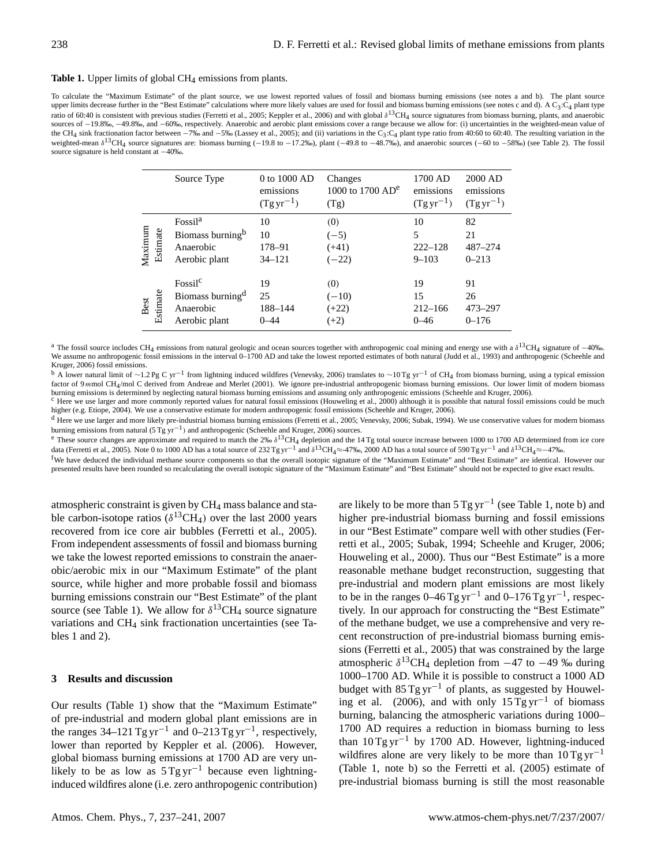#### Table 1. Upper limits of global CH<sub>4</sub> emissions from plants.

To calculate the "Maximum Estimate" of the plant source, we use lowest reported values of fossil and biomass burning emissions (see notes a and b). The plant source upper limits decrease further in the "Best Estimate" calculations where more likely values are used for fossil and biomass burning emissions (see notes c and d). A C3:C<sub>4</sub> plant type ratio of 60:40 is consistent with previous studies (Ferretti et al., 2005; Keppler et al., 2006) and with global  $\delta^{13}CH_4$  source signatures from biomass burning, plants, and anaerobic sources of −19.8‰, −49.8‰, and −60‰, respectively. Anaerobic and aerobic plant emissions cover a range because we allow for: (i) uncertainties in the weighted-mean value of the CH<sub>4</sub> sink fractionation factor between  $-7\%$  and  $-5\%$  (Lassey et al., 2005); and (ii) variations in the C<sub>3</sub>:C<sub>4</sub> plant type ratio from 40:60 to 60:40. The resulting variation in the weighted-mean  $\delta^{13}$ CH<sub>4</sub> source signatures are: biomass burning (-19.8 to -17.2‰), plant (-49.8 to -48.7‰), and anaerobic sources (-60 to -58‰) (see Table 2). The fossil source signature is held constant at −40‰.

|         |          | Source Type                                                                       | 0 to 1000 AD<br>emissions<br>$(Tgyr^{-1})$ | Changes<br>1000 to 1700 $AD^e$<br>(Tg) | 1700 AD<br>emissions<br>$(Tgyr^{-1})$ | 2000 AD<br>emissions<br>$(Tgyr^{-1})$ |
|---------|----------|-----------------------------------------------------------------------------------|--------------------------------------------|----------------------------------------|---------------------------------------|---------------------------------------|
| Maximum | Estimate | Fossil <sup>a</sup><br>Biomass burning <sup>b</sup><br>Anaerobic<br>Aerobic plant | 10<br>10<br>178-91<br>$34 - 121$           | (0)<br>$(-5)$<br>$(+41)$<br>$(-22)$    | 10<br>5<br>$222 - 128$<br>$9 - 103$   | 82<br>21<br>$487 - 274$<br>$0 - 213$  |
| Best    | Estimate | Fossil <sup>c</sup><br>Biomass burning <sup>d</sup><br>Anaerobic<br>Aerobic plant | 19<br>25<br>188-144<br>$0 - 44$            | (0)<br>$(-10)$<br>$(+22)$<br>$(+2)$    | 19<br>15<br>$212 - 166$<br>$0 - 46$   | 91<br>26<br>473-297<br>$0 - 176$      |

<sup>a</sup> The fossil source includes CH<sub>4</sub> emissions from natural geologic and ocean sources together with anthropogenic coal mining and energy use with a  $\delta^{13}$ CH<sub>4</sub> signature of -40‰. We assume no anthropogenic fossil emissions in the interval 0-1700 AD and take the lowest reported estimates of both natural (Judd et al., 1993) and anthropogenic (Scheehle and Kruger, 2006) fossil emissions.

<sup>b</sup> A lower natural limit of ~1.2Pg C yr<sup>-1</sup> from lightning induced wildfires (Venevsky, 2006) translates to ~10Tg yr<sup>-1</sup> of CH<sub>4</sub> from biomass burning, using a typical emission factor of 9 mmol CH<sub>4</sub>/mol C derived from Andreae and Merlet (2001). We ignore pre-industrial anthropogenic biomass burning emissions. Our lower limit of modern biomass burning emissions is determined by neglecting natural biomass burning emissions and assuming only anthropogenic emissions (Scheehle and Kruger, 2006).

<sup>c</sup> Here we use larger and more commonly reported values for natural fossil emissions (Houweling et al., 2000) although it is possible that natural fossil emissions could be much higher (e.g. Etiope, 2004). We use a conservative estimate for modern anthropogenic fossil emissions (Scheehle and Kruger, 2006).

<sup>d</sup> Here we use larger and more likely pre-industrial biomass burning emissions (Ferretti et al., 2005; Venevsky, 2006; Subak, 1994). We use conservative values for modern biomass burning emissions from natural (5 Tg yr<sup>-1</sup>) and anthropogenic (Scheehle and Kruger, 2006) sources.

<sup>e</sup> These source changes are approximate and required to match the 2‰  $\delta^{13}CH_4$  depletion and the 14 Tg total source increase between 1000 to 1700 AD determined from ice core data (Ferretti et al., 2005). Note 0 to 1000 AD has a total source of 232 Tg yr<sup>-1</sup> and  $\delta^{13}CH_4 \approx -47\%$ . 2000 AD has a total source of 590 Tg yr<sup>-1</sup> and  $\delta^{13}CH_4 \approx -47\%$ .

<sup>f</sup>We have deduced the individual methane source components so that the overall isotopic signature of the "Maximum Estimate" and "Best Estimate" are identical. However our presented results have been rounded so recalculating the overall isotopic signature of the "Maximum Estimate" and "Best Estimate" should not be expected to give exact results.

atmospheric constraint is given by CH<sup>4</sup> mass balance and stable carbon-isotope ratios ( $\delta^{13}CH_4$ ) over the last 2000 years recovered from ice core air bubbles (Ferretti et al., 2005). From independent assessments of fossil and biomass burning we take the lowest reported emissions to constrain the anaerobic/aerobic mix in our "Maximum Estimate" of the plant source, while higher and more probable fossil and biomass burning emissions constrain our "Best Estimate" of the plant source (see Table 1). We allow for  $\delta^{13}CH_4$  source signature variations and CH<sup>4</sup> sink fractionation uncertainties (see Tables 1 and 2).

#### **3 Results and discussion**

Our results (Table 1) show that the "Maximum Estimate" of pre-industrial and modern global plant emissions are in the ranges  $34-121$  Tg yr<sup>-1</sup> and  $0-213$  Tg yr<sup>-1</sup>, respectively, lower than reported by Keppler et al. (2006). However, global biomass burning emissions at 1700 AD are very unlikely to be as low as  $5$  Tg yr<sup>-1</sup> because even lightninginduced wildfires alone (i.e. zero anthropogenic contribution)

are likely to be more than  $5 \text{ Tg yr}^{-1}$  (see Table 1, note b) and higher pre-industrial biomass burning and fossil emissions in our "Best Estimate" compare well with other studies (Ferretti et al., 2005; Subak, 1994; Scheehle and Kruger, 2006; Houweling et al., 2000). Thus our "Best Estimate" is a more reasonable methane budget reconstruction, suggesting that pre-industrial and modern plant emissions are most likely to be in the ranges  $0-46$  Tg yr<sup>-1</sup> and  $0-176$  Tg yr<sup>-1</sup>, respectively. In our approach for constructing the "Best Estimate" of the methane budget, we use a comprehensive and very recent reconstruction of pre-industrial biomass burning emissions (Ferretti et al., 2005) that was constrained by the large atmospheric  $\delta^{13}CH_4$  depletion from  $-47$  to  $-49$  ‰ during 1000–1700 AD. While it is possible to construct a 1000 AD budget with  $85$  Tg yr<sup>-1</sup> of plants, as suggested by Houweling et al. (2006), and with only 15 Tg yr<sup>-1</sup> of biomass burning, balancing the atmospheric variations during 1000– 1700 AD requires a reduction in biomass burning to less than 10 Tg yr−<sup>1</sup> by 1700 AD. However, lightning-induced wildfires alone are very likely to be more than  $10$  Tg yr<sup>-1</sup> (Table 1, note b) so the Ferretti et al. (2005) estimate of pre-industrial biomass burning is still the most reasonable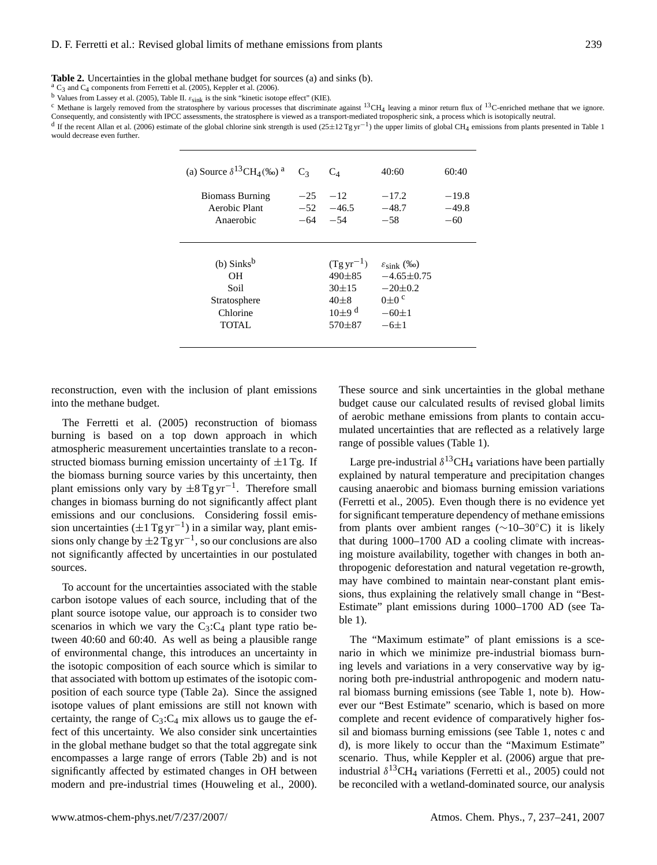**Table 2.** Uncertainties in the global methane budget for sources (a) and sinks (b).

 $^{a}$  C<sub>3</sub> and C<sub>4</sub> components from Ferretti et al. (2005), Keppler et al. (2006).

b Values from Lassey et al. (2005), Table II.  $\varepsilon_{\rm sink}$  is the sink "kinetic isotope effect" (KIE).

<sup>c</sup> Methane is largely removed from the stratosphere by various processes that discriminate against  $^{13}CH_4$  leaving a minor return flux of  $^{13}$ C-enriched methane that we ignore. Consequently, and consistently with IPCC assessments, the stratosphere is viewed as a transport-mediated tropospheric sink, a process which is isotopically neutral.

<sup>d</sup> If the recent Allan et al. (2006) estimate of the global chlorine sink strength is used (25±12 Tg yr<sup>-1</sup>) the upper limits of global CH<sub>4</sub> emissions from plants presented in Table 1 would decrease even further.

| (a) Source $\delta^{13}CH_4(\%_0)^a$                                         | C <sub>3</sub> | $C_4$                                                                                   | 40:60                                                                                                   | 60:40                       |
|------------------------------------------------------------------------------|----------------|-----------------------------------------------------------------------------------------|---------------------------------------------------------------------------------------------------------|-----------------------------|
| <b>Biomass Burning</b><br>Aerobic Plant<br>Anaerobic                         | $-25$<br>$-64$ | $-12$<br>$-52 - 46.5$<br>$-54$                                                          | $-17.2$<br>$-48.7$<br>$-58$                                                                             | $-19.8$<br>$-49.8$<br>$-60$ |
| $(b)$ Sinks <sup>b</sup><br>OН<br>Soil<br>Stratosphere<br>Chlorine<br>TOTAL. |                | $(Tgyr^{-1})$<br>490±85<br>$30 \pm 15$<br>$40\pm8$<br>$10+9$ <sup>d</sup><br>$570 + 87$ | $\varepsilon_{\text{sink}}$ (%)<br>$-4.65\pm0.75$<br>$-20\pm0.2$<br>$0\pm 0$ c<br>$-60 \pm 1$<br>$-6+1$ |                             |

reconstruction, even with the inclusion of plant emissions into the methane budget.

The Ferretti et al. (2005) reconstruction of biomass burning is based on a top down approach in which atmospheric measurement uncertainties translate to a reconstructed biomass burning emission uncertainty of  $\pm 1$  Tg. If the biomass burning source varies by this uncertainty, then plant emissions only vary by  $\pm 8$  Tg yr<sup>-1</sup>. Therefore small changes in biomass burning do not significantly affect plant emissions and our conclusions. Considering fossil emission uncertainties  $(\pm 1$  Tg yr<sup>-1</sup>) in a similar way, plant emissions only change by  $\pm 2$  Tg yr<sup>-1</sup>, so our conclusions are also not significantly affected by uncertainties in our postulated sources.

To account for the uncertainties associated with the stable carbon isotope values of each source, including that of the plant source isotope value, our approach is to consider two scenarios in which we vary the  $C_3$ : $C_4$  plant type ratio between 40:60 and 60:40. As well as being a plausible range of environmental change, this introduces an uncertainty in the isotopic composition of each source which is similar to that associated with bottom up estimates of the isotopic composition of each source type (Table 2a). Since the assigned isotope values of plant emissions are still not known with certainty, the range of  $C_3$ : $C_4$  mix allows us to gauge the effect of this uncertainty. We also consider sink uncertainties in the global methane budget so that the total aggregate sink encompasses a large range of errors (Table 2b) and is not significantly affected by estimated changes in OH between modern and pre-industrial times (Houweling et al., 2000). These source and sink uncertainties in the global methane budget cause our calculated results of revised global limits of aerobic methane emissions from plants to contain accumulated uncertainties that are reflected as a relatively large range of possible values (Table 1).

Large pre-industrial  $\delta^{13}CH_4$  variations have been partially explained by natural temperature and precipitation changes causing anaerobic and biomass burning emission variations (Ferretti et al., 2005). Even though there is no evidence yet for significant temperature dependency of methane emissions from plants over ambient ranges ( $\sim$ 10–30°C) it is likely that during 1000–1700 AD a cooling climate with increasing moisture availability, together with changes in both anthropogenic deforestation and natural vegetation re-growth, may have combined to maintain near-constant plant emissions, thus explaining the relatively small change in "Best-Estimate" plant emissions during 1000–1700 AD (see Table 1).

The "Maximum estimate" of plant emissions is a scenario in which we minimize pre-industrial biomass burning levels and variations in a very conservative way by ignoring both pre-industrial anthropogenic and modern natural biomass burning emissions (see Table 1, note b). However our "Best Estimate" scenario, which is based on more complete and recent evidence of comparatively higher fossil and biomass burning emissions (see Table 1, notes c and d), is more likely to occur than the "Maximum Estimate" scenario. Thus, while Keppler et al. (2006) argue that preindustrial  $\delta^{13}CH_4$  variations (Ferretti et al., 2005) could not be reconciled with a wetland-dominated source, our analysis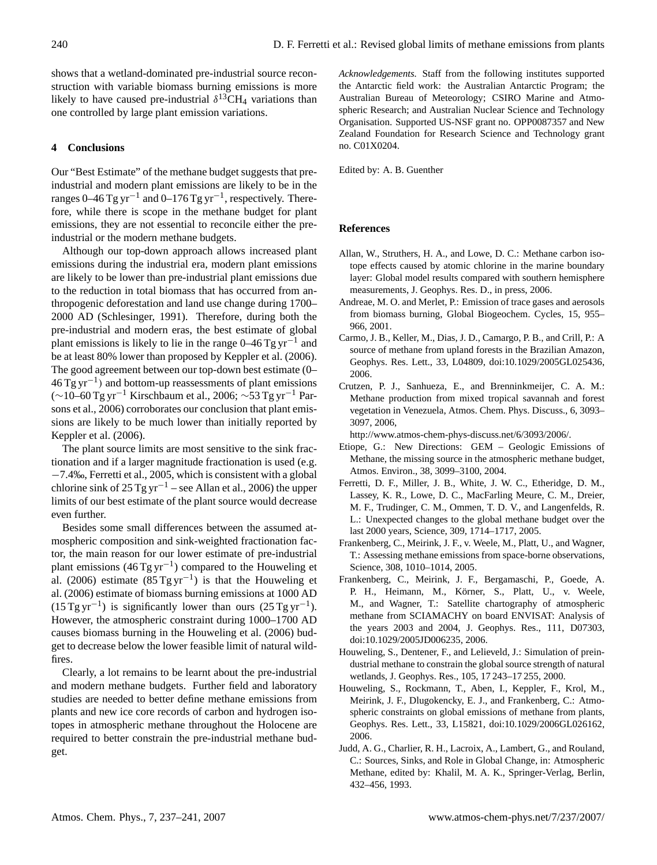shows that a wetland-dominated pre-industrial source reconstruction with variable biomass burning emissions is more likely to have caused pre-industrial  $\delta^{13}CH_4$  variations than one controlled by large plant emission variations.

# **4 Conclusions**

Our "Best Estimate" of the methane budget suggests that preindustrial and modern plant emissions are likely to be in the ranges 0–46 Tg yr<sup>-1</sup> and 0–176 Tg yr<sup>-1</sup>, respectively. Therefore, while there is scope in the methane budget for plant emissions, they are not essential to reconcile either the preindustrial or the modern methane budgets.

Although our top-down approach allows increased plant emissions during the industrial era, modern plant emissions are likely to be lower than pre-industrial plant emissions due to the reduction in total biomass that has occurred from anthropogenic deforestation and land use change during 1700– 2000 AD (Schlesinger, 1991). Therefore, during both the pre-industrial and modern eras, the best estimate of global plant emissions is likely to lie in the range  $0-46$  Tg yr<sup>-1</sup> and be at least 80% lower than proposed by Keppler et al. (2006). The good agreement between our top-down best estimate (0–  $46 \text{ Tg yr}^{-1}$ ) and bottom-up reassessments of plant emissions (∼10–60 Tg yr−<sup>1</sup> Kirschbaum et al., 2006; ∼53 Tg yr−<sup>1</sup> Parsons et al., 2006) corroborates our conclusion that plant emissions are likely to be much lower than initially reported by Keppler et al. (2006).

The plant source limits are most sensitive to the sink fractionation and if a larger magnitude fractionation is used (e.g. −7.4‰, Ferretti et al., 2005, which is consistent with a global chlorine sink of 25 Tg yr<sup>-1</sup> – see Allan et al., 2006) the upper limits of our best estimate of the plant source would decrease even further.

Besides some small differences between the assumed atmospheric composition and sink-weighted fractionation factor, the main reason for our lower estimate of pre-industrial plant emissions  $(46 \text{ Tg yr}^{-1})$  compared to the Houweling et al. (2006) estimate  $(85$ Tg yr<sup>-1</sup>) is that the Houweling et al. (2006) estimate of biomass burning emissions at 1000 AD  $(15 \text{ Tg yr}^{-1})$  is significantly lower than ours  $(25 \text{ Tg yr}^{-1})$ . However, the atmospheric constraint during 1000–1700 AD causes biomass burning in the Houweling et al. (2006) budget to decrease below the lower feasible limit of natural wildfires.

Clearly, a lot remains to be learnt about the pre-industrial and modern methane budgets. Further field and laboratory studies are needed to better define methane emissions from plants and new ice core records of carbon and hydrogen isotopes in atmospheric methane throughout the Holocene are required to better constrain the pre-industrial methane budget.

*Acknowledgements.* Staff from the following institutes supported the Antarctic field work: the Australian Antarctic Program; the Australian Bureau of Meteorology; CSIRO Marine and Atmospheric Research; and Australian Nuclear Science and Technology Organisation. Supported US-NSF grant no. OPP0087357 and New Zealand Foundation for Research Science and Technology grant no. C01X0204.

Edited by: A. B. Guenther

# **References**

- Allan, W., Struthers, H. A., and Lowe, D. C.: Methane carbon isotope effects caused by atomic chlorine in the marine boundary layer: Global model results compared with southern hemisphere measurements, J. Geophys. Res. D., in press, 2006.
- Andreae, M. O. and Merlet, P.: Emission of trace gases and aerosols from biomass burning, Global Biogeochem. Cycles, 15, 955– 966, 2001.
- Carmo, J. B., Keller, M., Dias, J. D., Camargo, P. B., and Crill, P.: A source of methane from upland forests in the Brazilian Amazon, Geophys. Res. Lett., 33, L04809, doi:10.1029/2005GL025436, 2006.
- Crutzen, P. J., Sanhueza, E., and Brenninkmeijer, C. A. M.: Methane production from mixed tropical savannah and forest vegetation in Venezuela, Atmos. Chem. Phys. Discuss., 6, 3093– 3097, 2006,

[http://www.atmos-chem-phys-discuss.net/6/3093/2006/.](http://www.atmos-chem-phys-discuss.net/6/3093/2006/)

- Etiope, G.: New Directions: GEM Geologic Emissions of Methane, the missing source in the atmospheric methane budget, Atmos. Environ., 38, 3099–3100, 2004.
- Ferretti, D. F., Miller, J. B., White, J. W. C., Etheridge, D. M., Lassey, K. R., Lowe, D. C., MacFarling Meure, C. M., Dreier, M. F., Trudinger, C. M., Ommen, T. D. V., and Langenfelds, R. L.: Unexpected changes to the global methane budget over the last 2000 years, Science, 309, 1714–1717, 2005.
- Frankenberg, C., Meirink, J. F., v. Weele, M., Platt, U., and Wagner, T.: Assessing methane emissions from space-borne observations, Science, 308, 1010–1014, 2005.
- Frankenberg, C., Meirink, J. F., Bergamaschi, P., Goede, A. P. H., Heimann, M., Körner, S., Platt, U., v. Weele, M., and Wagner, T.: Satellite chartography of atmospheric methane from SCIAMACHY on board ENVISAT: Analysis of the years 2003 and 2004, J. Geophys. Res., 111, D07303, doi:10.1029/2005JD006235, 2006.
- Houweling, S., Dentener, F., and Lelieveld, J.: Simulation of preindustrial methane to constrain the global source strength of natural wetlands, J. Geophys. Res., 105, 17 243–17 255, 2000.
- Houweling, S., Rockmann, T., Aben, I., Keppler, F., Krol, M., Meirink, J. F., Dlugokencky, E. J., and Frankenberg, C.: Atmospheric constraints on global emissions of methane from plants, Geophys. Res. Lett., 33, L15821, doi:10.1029/2006GL026162, 2006.
- Judd, A. G., Charlier, R. H., Lacroix, A., Lambert, G., and Rouland, C.: Sources, Sinks, and Role in Global Change, in: Atmospheric Methane, edited by: Khalil, M. A. K., Springer-Verlag, Berlin, 432–456, 1993.